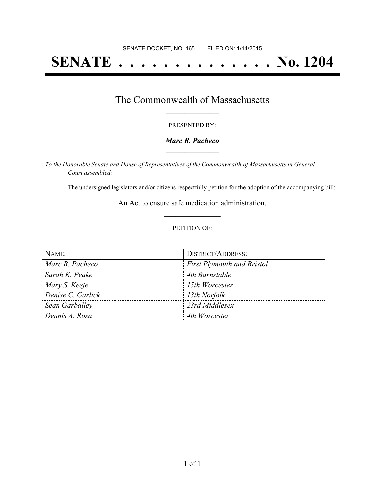# **SENATE . . . . . . . . . . . . . . No. 1204**

## The Commonwealth of Massachusetts **\_\_\_\_\_\_\_\_\_\_\_\_\_\_\_\_\_**

#### PRESENTED BY:

#### *Marc R. Pacheco* **\_\_\_\_\_\_\_\_\_\_\_\_\_\_\_\_\_**

*To the Honorable Senate and House of Representatives of the Commonwealth of Massachusetts in General Court assembled:*

The undersigned legislators and/or citizens respectfully petition for the adoption of the accompanying bill:

An Act to ensure safe medication administration. **\_\_\_\_\_\_\_\_\_\_\_\_\_\_\_**

#### PETITION OF:

| NAME              | <b>DISTRICT/ADDRESS:</b>          |
|-------------------|-----------------------------------|
| Marc R. Pacheco   | <b>First Plymouth and Bristol</b> |
| Sarah K. Peake    | 4th Barnstable                    |
| Mary S. Keefe     | 15th Worcester                    |
| Denise C. Garlick | 13th Norfolk                      |
| Sean Garballey    | 23rd Middlesex                    |
| Dennis A. Rosa    | 4th Worcester                     |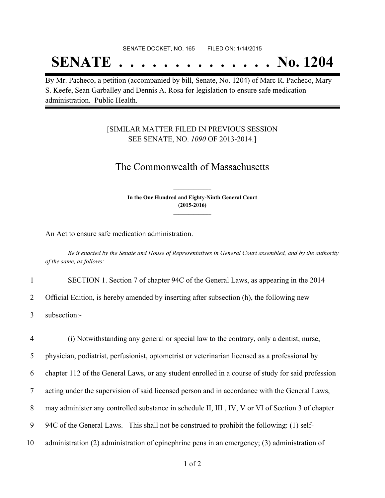#### SENATE DOCKET, NO. 165 FILED ON: 1/14/2015

## **SENATE . . . . . . . . . . . . . . No. 1204**

By Mr. Pacheco, a petition (accompanied by bill, Senate, No. 1204) of Marc R. Pacheco, Mary S. Keefe, Sean Garballey and Dennis A. Rosa for legislation to ensure safe medication administration. Public Health.

### [SIMILAR MATTER FILED IN PREVIOUS SESSION SEE SENATE, NO. *1090* OF 2013-2014.]

## The Commonwealth of Massachusetts

**In the One Hundred and Eighty-Ninth General Court (2015-2016) \_\_\_\_\_\_\_\_\_\_\_\_\_\_\_**

**\_\_\_\_\_\_\_\_\_\_\_\_\_\_\_**

An Act to ensure safe medication administration.

Be it enacted by the Senate and House of Representatives in General Court assembled, and by the authority *of the same, as follows:*

1 SECTION 1. Section 7 of chapter 94C of the General Laws, as appearing in the 2014

2 Official Edition, is hereby amended by inserting after subsection (h), the following new

3 subsection:-

 (i) Notwithstanding any general or special law to the contrary, only a dentist, nurse, physician, podiatrist, perfusionist, optometrist or veterinarian licensed as a professional by chapter 112 of the General Laws, or any student enrolled in a course of study for said profession acting under the supervision of said licensed person and in accordance with the General Laws, 8 may administer any controlled substance in schedule II, III, IV, V or VI of Section 3 of chapter 94C of the General Laws. This shall not be construed to prohibit the following: (1) self-administration (2) administration of epinephrine pens in an emergency; (3) administration of